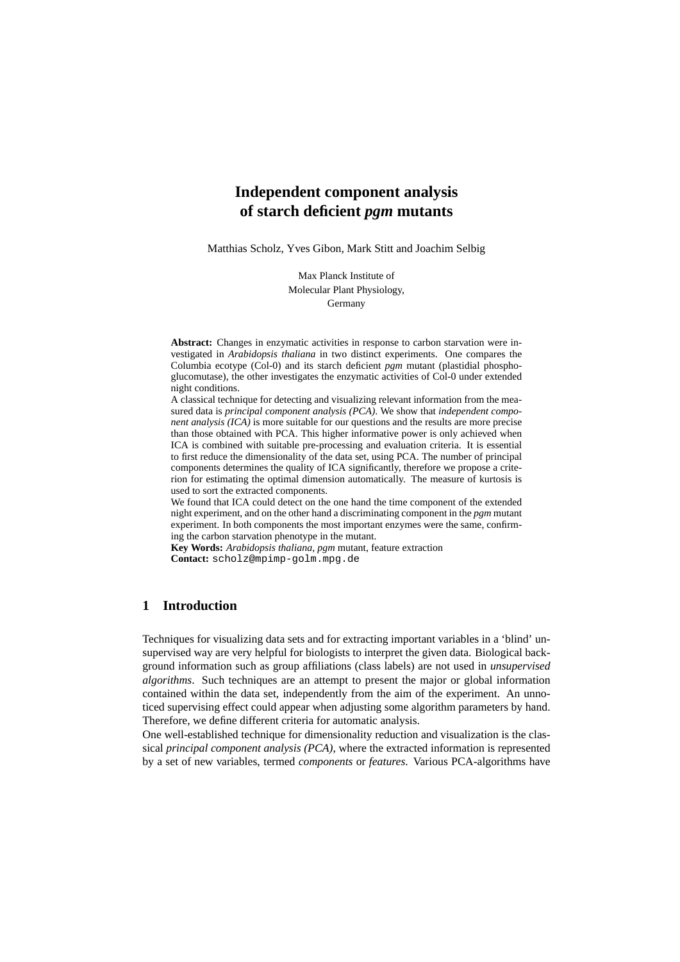# **Independent component analysis of starch deficient** *pgm* **mutants**

Matthias Scholz, Yves Gibon, Mark Stitt and Joachim Selbig

Max Planck Institute of Molecular Plant Physiology, Germany

**Abstract:** Changes in enzymatic activities in response to carbon starvation were investigated in *Arabidopsis thaliana* in two distinct experiments. One compares the Columbia ecotype (Col-0) and its starch deficient *pgm* mutant (plastidial phosphoglucomutase), the other investigates the enzymatic activities of Col-0 under extended night conditions.

A classical technique for detecting and visualizing relevant information from the measured data is *principal component analysis (PCA)*. We show that *independent component analysis (ICA)* is more suitable for our questions and the results are more precise than those obtained with PCA. This higher informative power is only achieved when ICA is combined with suitable pre-processing and evaluation criteria. It is essential to first reduce the dimensionality of the data set, using PCA. The number of principal components determines the quality of ICA significantly, therefore we propose a criterion for estimating the optimal dimension automatically. The measure of kurtosis is used to sort the extracted components.

We found that ICA could detect on the one hand the time component of the extended night experiment, and on the other hand a discriminating component in the *pgm* mutant experiment. In both components the most important enzymes were the same, confirming the carbon starvation phenotype in the mutant.

**Key Words:** *Arabidopsis thaliana*, *pgm* mutant, feature extraction **Contact:** scholz@mpimp-golm.mpg.de

# **1 Introduction**

Techniques for visualizing data sets and for extracting important variables in a 'blind' unsupervised way are very helpful for biologists to interpret the given data. Biological background information such as group affiliations (class labels) are not used in *unsupervised algorithms*. Such techniques are an attempt to present the major or global information contained within the data set, independently from the aim of the experiment. An unnoticed supervising effect could appear when adjusting some algorithm parameters by hand. Therefore, we define different criteria for automatic analysis.

One well-established technique for dimensionality reduction and visualization is the classical *principal component analysis (PCA)*, where the extracted information is represented by a set of new variables, termed *components* or *features*. Various PCA-algorithms have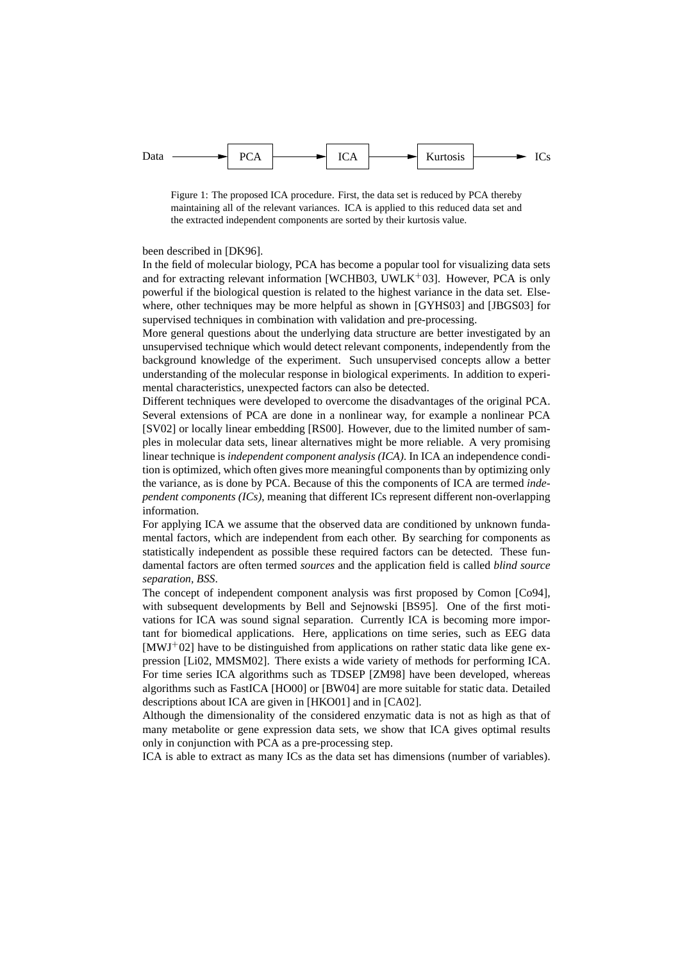

Figure 1: The proposed ICA procedure. First, the data set is reduced by PCA thereby maintaining all of the relevant variances. ICA is applied to this reduced data set and the extracted independent components are sorted by their kurtosis value.

#### been described in [DK96].

In the field of molecular biology, PCA has become a popular tool for visualizing data sets and for extracting relevant information [WCHB03, UWL $K^+03$ ]. However, PCA is only powerful if the biological question is related to the highest variance in the data set. Elsewhere, other techniques may be more helpful as shown in [GYHS03] and [JBGS03] for supervised techniques in combination with validation and pre-processing.

More general questions about the underlying data structure are better investigated by an unsupervised technique which would detect relevant components, independently from the background knowledge of the experiment. Such unsupervised concepts allow a better understanding of the molecular response in biological experiments. In addition to experimental characteristics, unexpected factors can also be detected.

Different techniques were developed to overcome the disadvantages of the original PCA. Several extensions of PCA are done in a nonlinear way, for example a nonlinear PCA [SV02] or locally linear embedding [RS00]. However, due to the limited number of samples in molecular data sets, linear alternatives might be more reliable. A very promising linear technique is *independent component analysis (ICA)*. In ICA an independence condition is optimized, which often gives more meaningful components than by optimizing only the variance, as is done by PCA. Because of this the components of ICA are termed *independent components (ICs)*, meaning that different ICs represent different non-overlapping information.

For applying ICA we assume that the observed data are conditioned by unknown fundamental factors, which are independent from each other. By searching for components as statistically independent as possible these required factors can be detected. These fundamental factors are often termed *sources* and the application field is called *blind source separation, BSS*.

The concept of independent component analysis was first proposed by Comon [Co94], with subsequent developments by Bell and Sejnowski [BS95]. One of the first motivations for ICA was sound signal separation. Currently ICA is becoming more important for biomedical applications. Here, applications on time series, such as EEG data  $[MWJ^+02]$  have to be distinguished from applications on rather static data like gene expression [Li02, MMSM02]. There exists a wide variety of methods for performing ICA. For time series ICA algorithms such as TDSEP [ZM98] have been developed, whereas algorithms such as FastICA [HO00] or [BW04] are more suitable for static data. Detailed descriptions about ICA are given in [HKO01] and in [CA02].

Although the dimensionality of the considered enzymatic data is not as high as that of many metabolite or gene expression data sets, we show that ICA gives optimal results only in conjunction with PCA as a pre-processing step.

ICA is able to extract as many ICs as the data set has dimensions (number of variables).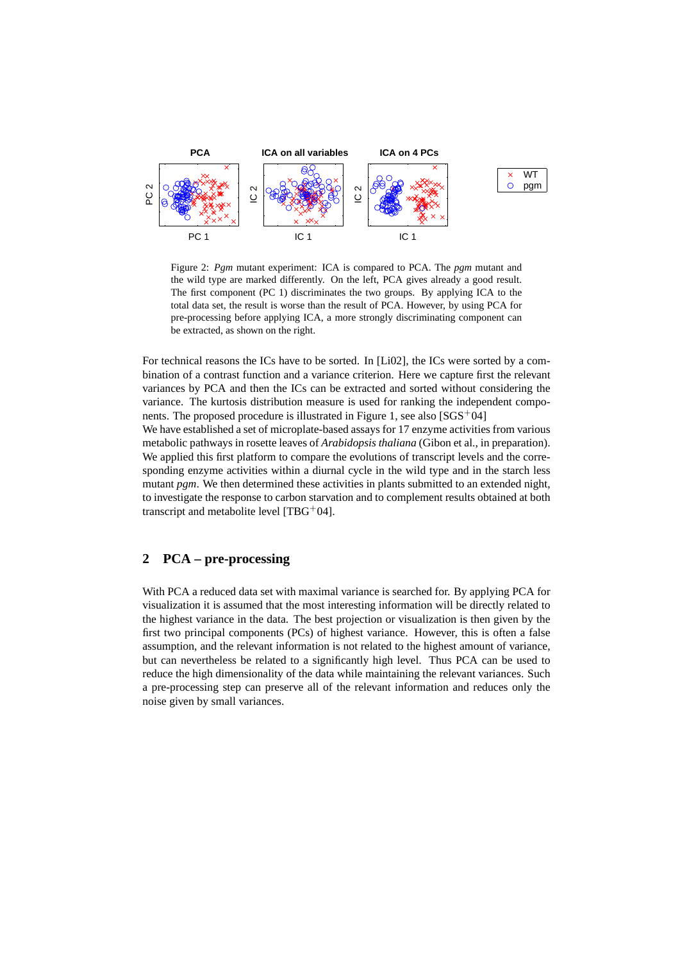

Figure 2: *Pgm* mutant experiment: ICA is compared to PCA. The *pgm* mutant and the wild type are marked differently. On the left, PCA gives already a good result. The first component (PC 1) discriminates the two groups. By applying ICA to the total data set, the result is worse than the result of PCA. However, by using PCA for pre-processing before applying ICA, a more strongly discriminating component can be extracted, as shown on the right.

For technical reasons the ICs have to be sorted. In [Li02], the ICs were sorted by a combination of a contrast function and a variance criterion. Here we capture first the relevant variances by PCA and then the ICs can be extracted and sorted without considering the variance. The kurtosis distribution measure is used for ranking the independent components. The proposed procedure is illustrated in Figure 1, see also  $[SGS^+04]$ 

We have established a set of microplate-based assays for 17 enzyme activities from various metabolic pathways in rosette leaves of *Arabidopsis thaliana* (Gibon et al., in preparation). We applied this first platform to compare the evolutions of transcript levels and the corresponding enzyme activities within a diurnal cycle in the wild type and in the starch less mutant *pgm*. We then determined these activities in plants submitted to an extended night, to investigate the response to carbon starvation and to complement results obtained at both transcript and metabolite level  $[TBG^+04]$ .

## **2 PCA – pre-processing**

With PCA a reduced data set with maximal variance is searched for. By applying PCA for visualization it is assumed that the most interesting information will be directly related to the highest variance in the data. The best projection or visualization is then given by the first two principal components (PCs) of highest variance. However, this is often a false assumption, and the relevant information is not related to the highest amount of variance, but can nevertheless be related to a significantly high level. Thus PCA can be used to reduce the high dimensionality of the data while maintaining the relevant variances. Such a pre-processing step can preserve all of the relevant information and reduces only the noise given by small variances.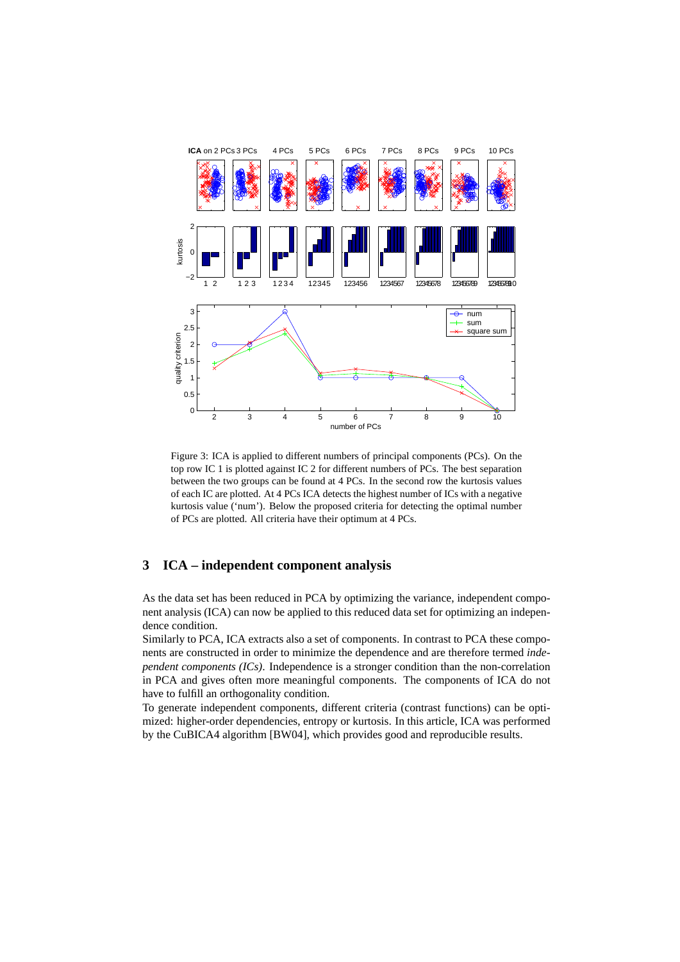

Figure 3: ICA is applied to different numbers of principal components (PCs). On the top row IC 1 is plotted against IC 2 for different numbers of PCs. The best separation between the two groups can be found at 4 PCs. In the second row the kurtosis values of each IC are plotted. At 4 PCs ICA detects the highest number of ICs with a negative kurtosis value ('num'). Below the proposed criteria for detecting the optimal number of PCs are plotted. All criteria have their optimum at 4 PCs.

#### **3 ICA – independent component analysis**

As the data set has been reduced in PCA by optimizing the variance, independent component analysis (ICA) can now be applied to this reduced data set for optimizing an independence condition.

Similarly to PCA, ICA extracts also a set of components. In contrast to PCA these components are constructed in order to minimize the dependence and are therefore termed *independent components (ICs)*. Independence is a stronger condition than the non-correlation in PCA and gives often more meaningful components. The components of ICA do not have to fulfill an orthogonality condition.

To generate independent components, different criteria (contrast functions) can be optimized: higher-order dependencies, entropy or kurtosis. In this article, ICA was performed by the CuBICA4 algorithm [BW04], which provides good and reproducible results.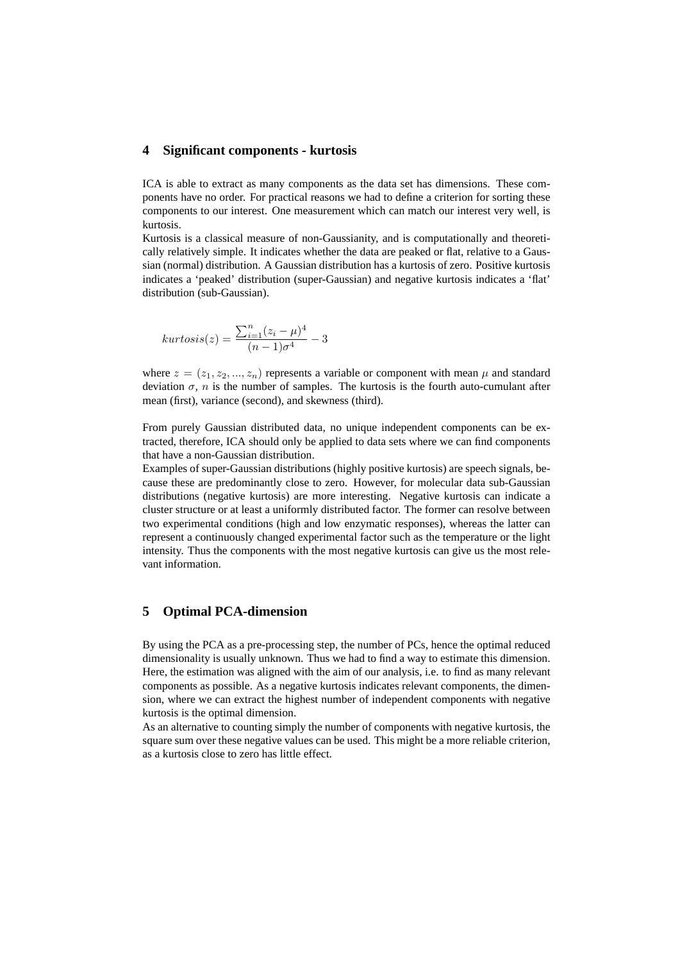#### **4 Significant components - kurtosis**

ICA is able to extract as many components as the data set has dimensions. These components have no order. For practical reasons we had to define a criterion for sorting these components to our interest. One measurement which can match our interest very well, is kurtosis.

Kurtosis is a classical measure of non-Gaussianity, and is computationally and theoretically relatively simple. It indicates whether the data are peaked or flat, relative to a Gaussian (normal) distribution. A Gaussian distribution has a kurtosis of zero. Positive kurtosis indicates a 'peaked' distribution (super-Gaussian) and negative kurtosis indicates a 'flat' distribution (sub-Gaussian).

$$
kurtosis(z) = \frac{\sum_{i=1}^{n} (z_i - \mu)^4}{(n-1)\sigma^4} - 3
$$

where  $z = (z_1, z_2, ..., z_n)$  represents a variable or component with mean  $\mu$  and standard deviation  $\sigma$ , *n* is the number of samples. The kurtosis is the fourth auto-cumulant after mean (first), variance (second), and skewness (third).

From purely Gaussian distributed data, no unique independent components can be extracted, therefore, ICA should only be applied to data sets where we can find components that have a non-Gaussian distribution.

Examples of super-Gaussian distributions (highly positive kurtosis) are speech signals, because these are predominantly close to zero. However, for molecular data sub-Gaussian distributions (negative kurtosis) are more interesting. Negative kurtosis can indicate a cluster structure or at least a uniformly distributed factor. The former can resolve between two experimental conditions (high and low enzymatic responses), whereas the latter can represent a continuously changed experimental factor such as the temperature or the light intensity. Thus the components with the most negative kurtosis can give us the most relevant information.

### **5 Optimal PCA-dimension**

By using the PCA as a pre-processing step, the number of PCs, hence the optimal reduced dimensionality is usually unknown. Thus we had to find a way to estimate this dimension. Here, the estimation was aligned with the aim of our analysis, i.e. to find as many relevant components as possible. As a negative kurtosis indicates relevant components, the dimension, where we can extract the highest number of independent components with negative kurtosis is the optimal dimension.

As an alternative to counting simply the number of components with negative kurtosis, the square sum over these negative values can be used. This might be a more reliable criterion, as a kurtosis close to zero has little effect.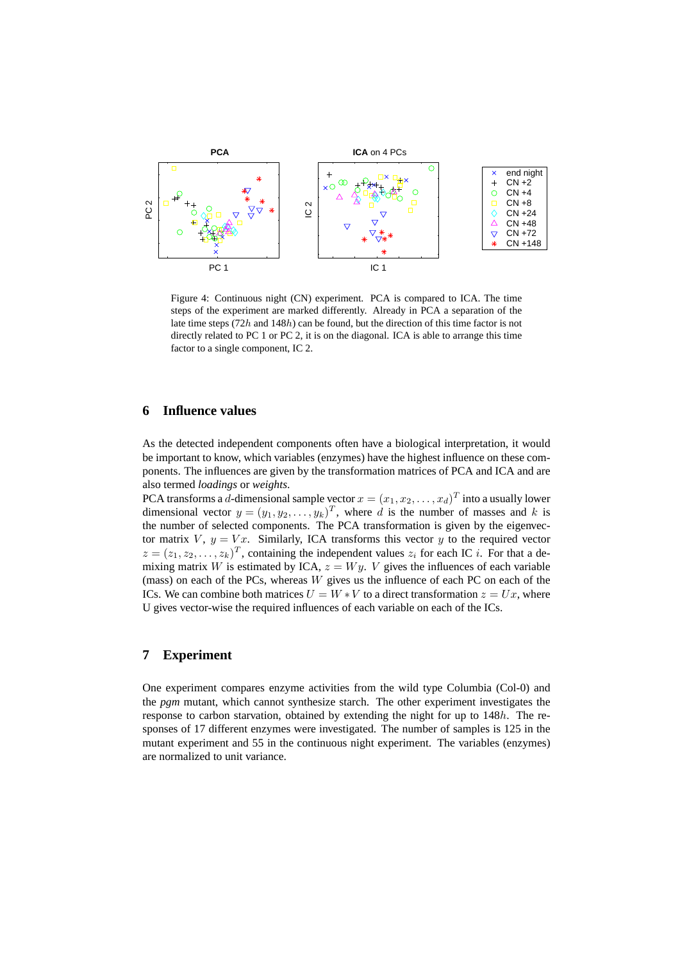

Figure 4: Continuous night (CN) experiment. PCA is compared to ICA. The time steps of the experiment are marked differently. Already in PCA a separation of the late time steps (72h and 148h) can be found, but the direction of this time factor is not directly related to PC 1 or PC 2, it is on the diagonal. ICA is able to arrange this time factor to a single component, IC 2.

### **6 Influence values**

As the detected independent components often have a biological interpretation, it would be important to know, which variables (enzymes) have the highest influence on these components. The influences are given by the transformation matrices of PCA and ICA and are also termed *loadings* or *weights*.

PCA transforms a d-dimensional sample vector  $x=(x_1,x_2,\ldots,x_d)^T$  into a usually lower dimensional vector  $y = (y_1, y_2, \dots, y_k)^T$ , where d is the number of masses and k is the number of selected components. The PCA transformation is given by the eigenvector matrix  $V, y = Vx$ . Similarly, ICA transforms this vector y to the required vector  $z = (z_1, z_2, \dots, z_k)^T$ , containing the independent values  $z_i$  for each IC i. For that a demixing matrix W is estimated by ICA,  $z = Wy$ . V gives the influences of each variable (mass) on each of the PCs, whereas  $W$  gives us the influence of each PC on each of the ICs. We can combine both matrices  $U = W * V$  to a direct transformation  $z = Ux$ , where U gives vector-wise the required influences of each variable on each of the ICs.

# **7 Experiment**

One experiment compares enzyme activities from the wild type Columbia (Col-0) and the *pgm* mutant, which cannot synthesize starch. The other experiment investigates the response to carbon starvation, obtained by extending the night for up to 148h. The responses of 17 different enzymes were investigated. The number of samples is 125 in the mutant experiment and 55 in the continuous night experiment. The variables (enzymes) are normalized to unit variance.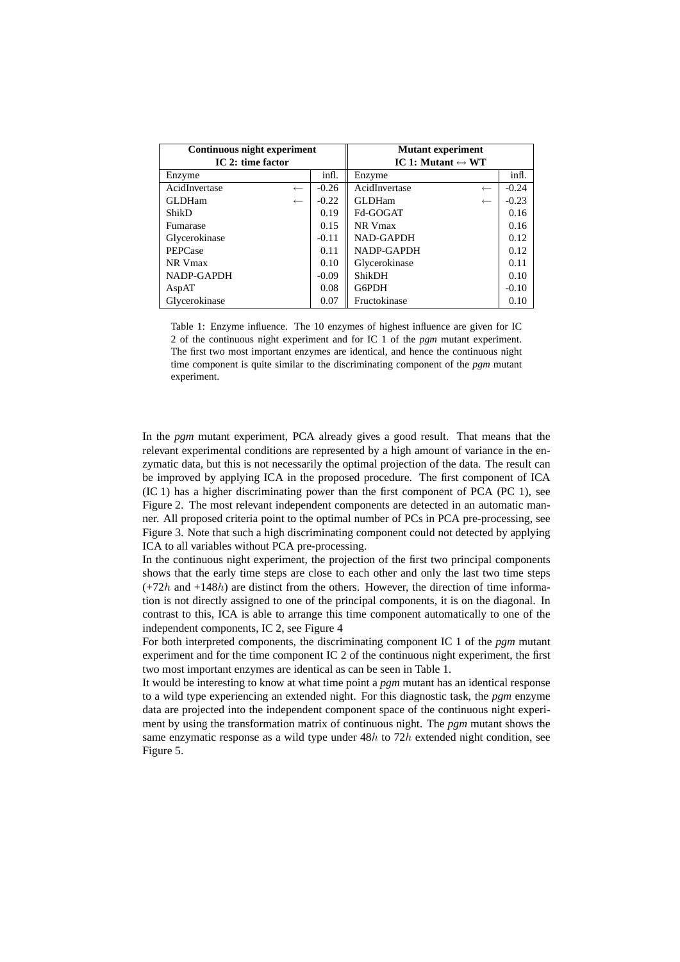| Continuous night experiment<br>IC 2: time factor |              |         | <b>Mutant experiment</b><br>IC 1: Mutant $\leftrightarrow$ WT |              |         |
|--------------------------------------------------|--------------|---------|---------------------------------------------------------------|--------------|---------|
| Enzyme                                           |              | infl.   | Enzyme                                                        |              | infl.   |
| AcidInvertase                                    | $\leftarrow$ | $-0.26$ | AcidInvertase                                                 | $\leftarrow$ | $-0.24$ |
| <b>GLDHam</b>                                    | $\leftarrow$ | $-0.22$ | <b>GLDHam</b>                                                 | $\leftarrow$ | $-0.23$ |
| ShikD                                            |              | 0.19    | Fd-GOGAT                                                      |              | 0.16    |
| Fumarase                                         |              | 0.15    | NR Vmax                                                       |              | 0.16    |
| Glycerokinase                                    |              | $-0.11$ | <b>NAD-GAPDH</b>                                              |              | 0.12    |
| PEPCase                                          |              | 0.11    | NADP-GAPDH                                                    |              | 0.12    |
| NR Vmax                                          |              | 0.10    | Glycerokinase                                                 |              | 0.11    |
| NADP-GAPDH                                       |              | $-0.09$ | ShikDH                                                        |              | 0.10    |
| AspAT                                            |              | 0.08    | G6PDH                                                         |              | $-0.10$ |
| Glycerokinase                                    |              | 0.07    | Fructokinase                                                  |              | 0.10    |

Table 1: Enzyme influence. The 10 enzymes of highest influence are given for IC 2 of the continuous night experiment and for IC 1 of the *pgm* mutant experiment. The first two most important enzymes are identical, and hence the continuous night time component is quite similar to the discriminating component of the *pgm* mutant experiment.

In the *pgm* mutant experiment, PCA already gives a good result. That means that the relevant experimental conditions are represented by a high amount of variance in the enzymatic data, but this is not necessarily the optimal projection of the data. The result can be improved by applying ICA in the proposed procedure. The first component of ICA (IC 1) has a higher discriminating power than the first component of PCA (PC 1), see Figure 2. The most relevant independent components are detected in an automatic manner. All proposed criteria point to the optimal number of PCs in PCA pre-processing, see Figure 3. Note that such a high discriminating component could not detected by applying ICA to all variables without PCA pre-processing.

In the continuous night experiment, the projection of the first two principal components shows that the early time steps are close to each other and only the last two time steps  $(+72h$  and  $+148h$ ) are distinct from the others. However, the direction of time information is not directly assigned to one of the principal components, it is on the diagonal. In contrast to this, ICA is able to arrange this time component automatically to one of the independent components, IC 2, see Figure 4

For both interpreted components, the discriminating component IC 1 of the *pgm* mutant experiment and for the time component IC 2 of the continuous night experiment, the first two most important enzymes are identical as can be seen in Table 1.

It would be interesting to know at what time point a *pgm* mutant has an identical response to a wild type experiencing an extended night. For this diagnostic task, the *pgm* enzyme data are projected into the independent component space of the continuous night experiment by using the transformation matrix of continuous night. The *pgm* mutant shows the same enzymatic response as a wild type under  $48h$  to  $72h$  extended night condition, see Figure 5.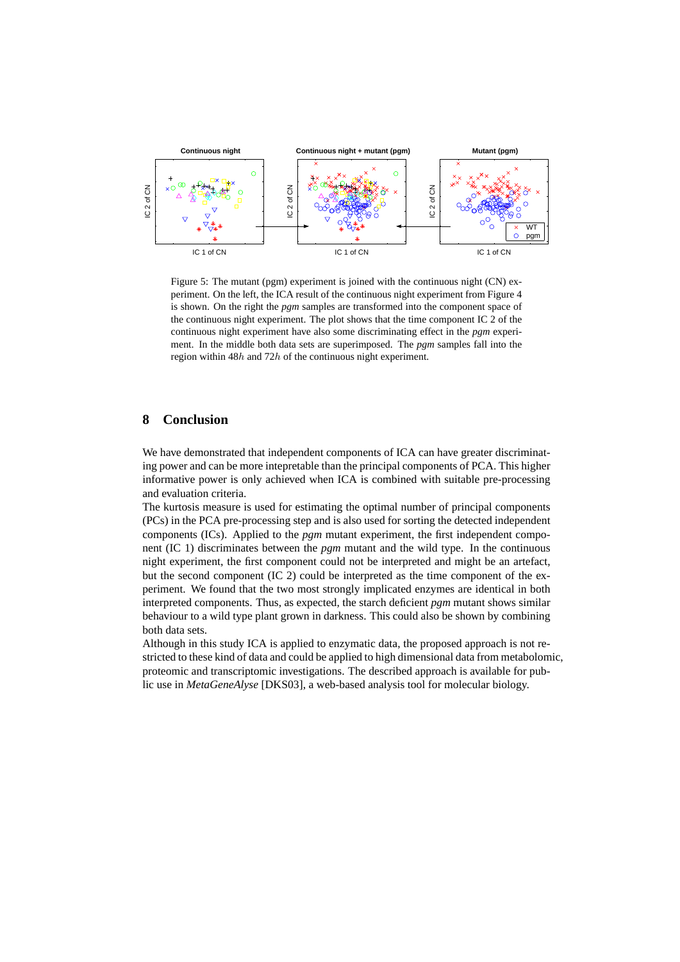![](_page_7_Figure_0.jpeg)

Figure 5: The mutant (pgm) experiment is joined with the continuous night (CN) experiment. On the left, the ICA result of the continuous night experiment from Figure 4 is shown. On the right the *pgm* samples are transformed into the component space of the continuous night experiment. The plot shows that the time component IC 2 of the continuous night experiment have also some discriminating effect in the *pgm* experiment. In the middle both data sets are superimposed. The *pgm* samples fall into the region within 48h and 72h of the continuous night experiment.

### **8 Conclusion**

We have demonstrated that independent components of ICA can have greater discriminating power and can be more intepretable than the principal components of PCA. This higher informative power is only achieved when ICA is combined with suitable pre-processing and evaluation criteria.

The kurtosis measure is used for estimating the optimal number of principal components (PCs) in the PCA pre-processing step and is also used for sorting the detected independent components (ICs). Applied to the *pgm* mutant experiment, the first independent component (IC 1) discriminates between the *pgm* mutant and the wild type. In the continuous night experiment, the first component could not be interpreted and might be an artefact, but the second component (IC 2) could be interpreted as the time component of the experiment. We found that the two most strongly implicated enzymes are identical in both interpreted components. Thus, as expected, the starch deficient *pgm* mutant shows similar behaviour to a wild type plant grown in darkness. This could also be shown by combining both data sets.

Although in this study ICA is applied to enzymatic data, the proposed approach is not restricted to these kind of data and could be applied to high dimensional data from metabolomic, proteomic and transcriptomic investigations. The described approach is available for public use in *MetaGeneAlyse* [DKS03], a web-based analysis tool for molecular biology.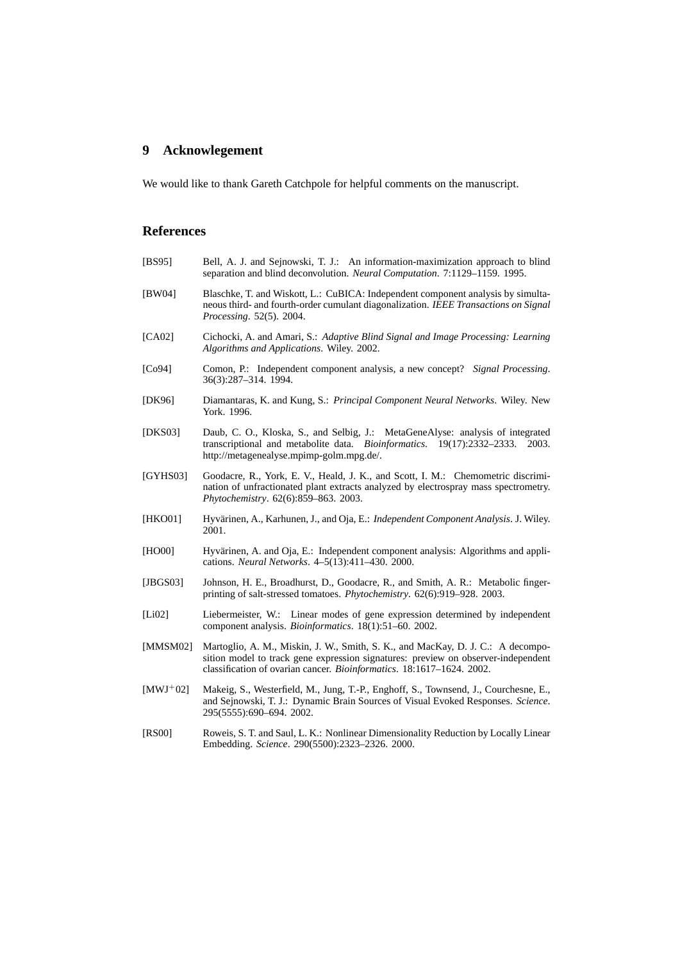#### **9 Acknowlegement**

We would like to thank Gareth Catchpole for helpful comments on the manuscript.

#### **References**

- [BS95] Bell, A. J. and Sejnowski, T. J.: An information-maximization approach to blind separation and blind deconvolution. *Neural Computation*. 7:1129–1159. 1995.
- [BW04] Blaschke, T. and Wiskott, L.: CuBICA: Independent component analysis by simultaneous third- and fourth-order cumulant diagonalization. *IEEE Transactions on Signal Processing*. 52(5). 2004.
- [CA02] Cichocki, A. and Amari, S.: *Adaptive Blind Signal and Image Processing: Learning Algorithms and Applications*. Wiley. 2002.
- [Co94] Comon, P.: Independent component analysis, a new concept? *Signal Processing*. 36(3):287–314. 1994.
- [DK96] Diamantaras, K. and Kung, S.: *Principal Component Neural Networks*. Wiley. New York. 1996.
- [DKS03] Daub, C. O., Kloska, S., and Selbig, J.: MetaGeneAlyse: analysis of integrated transcriptional and metabolite data. *Bioinformatics*. 19(17):2332–2333. 2003. http://metagenealyse.mpimp-golm.mpg.de/.
- [GYHS03] Goodacre, R., York, E. V., Heald, J. K., and Scott, I. M.: Chemometric discrimination of unfractionated plant extracts analyzed by electrospray mass spectrometry. *Phytochemistry*. 62(6):859–863. 2003.
- [HKO01] Hyvärinen, A., Karhunen, J., and Oja, E.: *Independent Component Analysis*. J. Wiley. 2001.
- [HO00] Hyvärinen, A. and Oja, E.: Independent component analysis: Algorithms and applications. *Neural Networks*. 4–5(13):411–430. 2000.
- [JBGS03] Johnson, H. E., Broadhurst, D., Goodacre, R., and Smith, A. R.: Metabolic fingerprinting of salt-stressed tomatoes. *Phytochemistry*. 62(6):919–928. 2003.
- [Li02] Liebermeister, W.: Linear modes of gene expression determined by independent component analysis. *Bioinformatics*. 18(1):51–60. 2002.
- [MMSM02] Martoglio, A. M., Miskin, J. W., Smith, S. K., and MacKay, D. J. C.: A decomposition model to track gene expression signatures: preview on observer-independent classification of ovarian cancer. *Bioinformatics*. 18:1617–1624. 2002.
- [MWJ<sup>+</sup>02] Makeig, S., Westerfield, M., Jung, T.-P., Enghoff, S., Townsend, J., Courchesne, E., and Sejnowski, T. J.: Dynamic Brain Sources of Visual Evoked Responses. *Science*. 295(5555):690–694. 2002.
- [RS00] Roweis, S. T. and Saul, L. K.: Nonlinear Dimensionality Reduction by Locally Linear Embedding. *Science*. 290(5500):2323–2326. 2000.